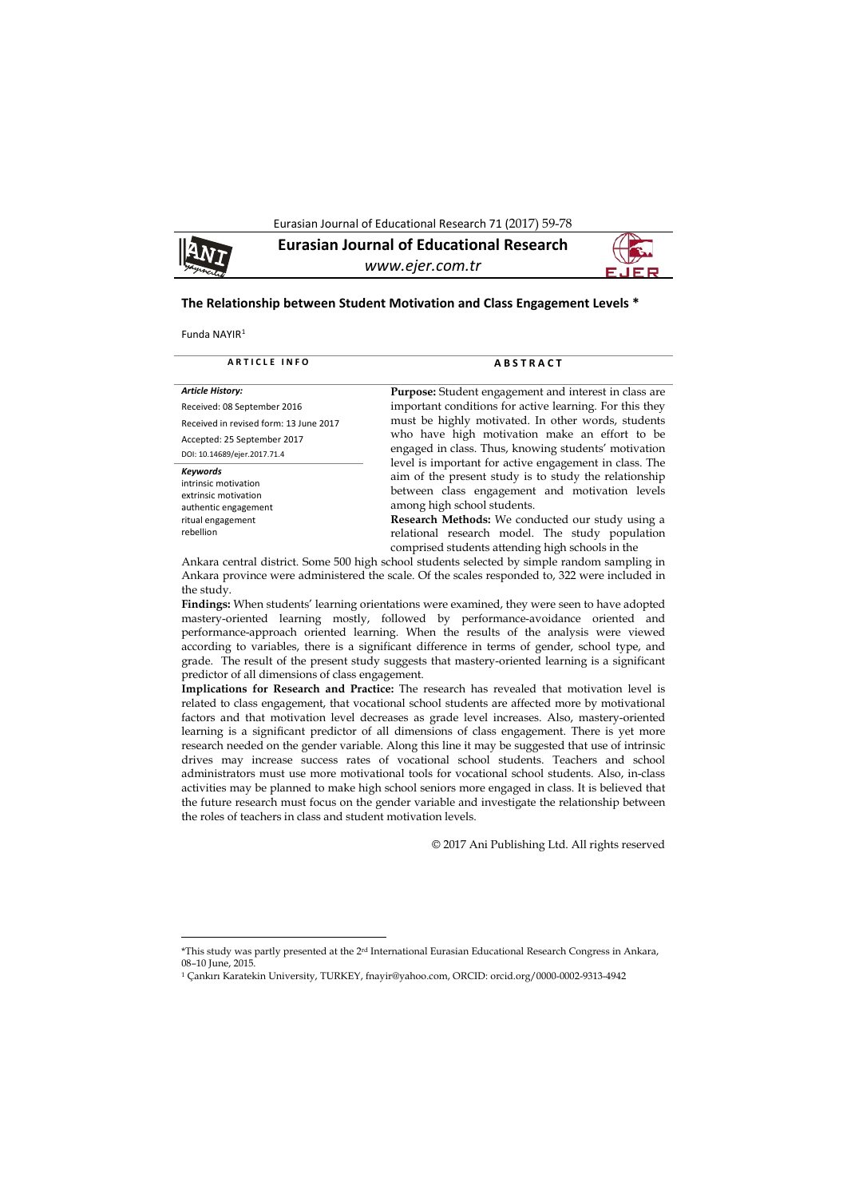Eurasian Journal of Educational Research 71 (2017) 59-78



**Eurasian Journal of Educational Research** *www.ejer.com.tr*



#### **The Relationship between Student Motivation and Class Engagement Levels \***

Funda NAYIR[1](#page-0-0) 

**.** 

| <b>ARTICLE INFO</b>                                         | <b>ABSTRACT</b>                                                                                                                                                 |
|-------------------------------------------------------------|-----------------------------------------------------------------------------------------------------------------------------------------------------------------|
| <b>Article History:</b>                                     | <b>Purpose:</b> Student engagement and interest in class are                                                                                                    |
| Received: 08 September 2016                                 | important conditions for active learning. For this they                                                                                                         |
| Received in revised form: 13 June 2017                      | must be highly motivated. In other words, students                                                                                                              |
| Accepted: 25 September 2017<br>DOI: 10.14689/ejer.2017.71.4 | who have high motivation make an effort to be<br>engaged in class. Thus, knowing students' motivation<br>level is important for active engagement in class. The |
| <b>Keywords</b>                                             | aim of the present study is to study the relationship                                                                                                           |
| intrinsic motivation                                        | between class engagement and motivation levels                                                                                                                  |
| extrinsic motivation                                        | among high school students.                                                                                                                                     |
| authentic engagement                                        | Research Methods: We conducted our study using a                                                                                                                |
| ritual engagement                                           | relational research model. The study population                                                                                                                 |
| rebellion                                                   | comprised students attending high schools in the                                                                                                                |
|                                                             |                                                                                                                                                                 |

Ankara central district. Some 500 high school students selected by simple random sampling in Ankara province were administered the scale. Of the scales responded to, 322 were included in the study.

**Findings:** When students' learning orientations were examined, they were seen to have adopted mastery-oriented learning mostly, followed by performance-avoidance oriented and performance-approach oriented learning. When the results of the analysis were viewed according to variables, there is a significant difference in terms of gender, school type, and grade. The result of the present study suggests that mastery-oriented learning is a significant predictor of all dimensions of class engagement.

**Implications for Research and Practice:** The research has revealed that motivation level is related to class engagement, that vocational school students are affected more by motivational factors and that motivation level decreases as grade level increases. Also, mastery-oriented learning is a significant predictor of all dimensions of class engagement. There is yet more research needed on the gender variable. Along this line it may be suggested that use of intrinsic drives may increase success rates of vocational school students. Teachers and school administrators must use more motivational tools for vocational school students. Also, in-class activities may be planned to make high school seniors more engaged in class. It is believed that the future research must focus on the gender variable and investigate the relationship between the roles of teachers in class and student motivation levels.

© 2017 Ani Publishing Ltd. All rights reserved

<span id="page-0-0"></span><sup>\*</sup>This study was partly presented at the 2rd International Eurasian Educational Research Congress in Ankara, 08-10 June, 2015.

<sup>1</sup> Çankırı Karatekin University, TURKEY, fnayir@yahoo.com, ORCID: orcid.org/0000-0002-9313-4942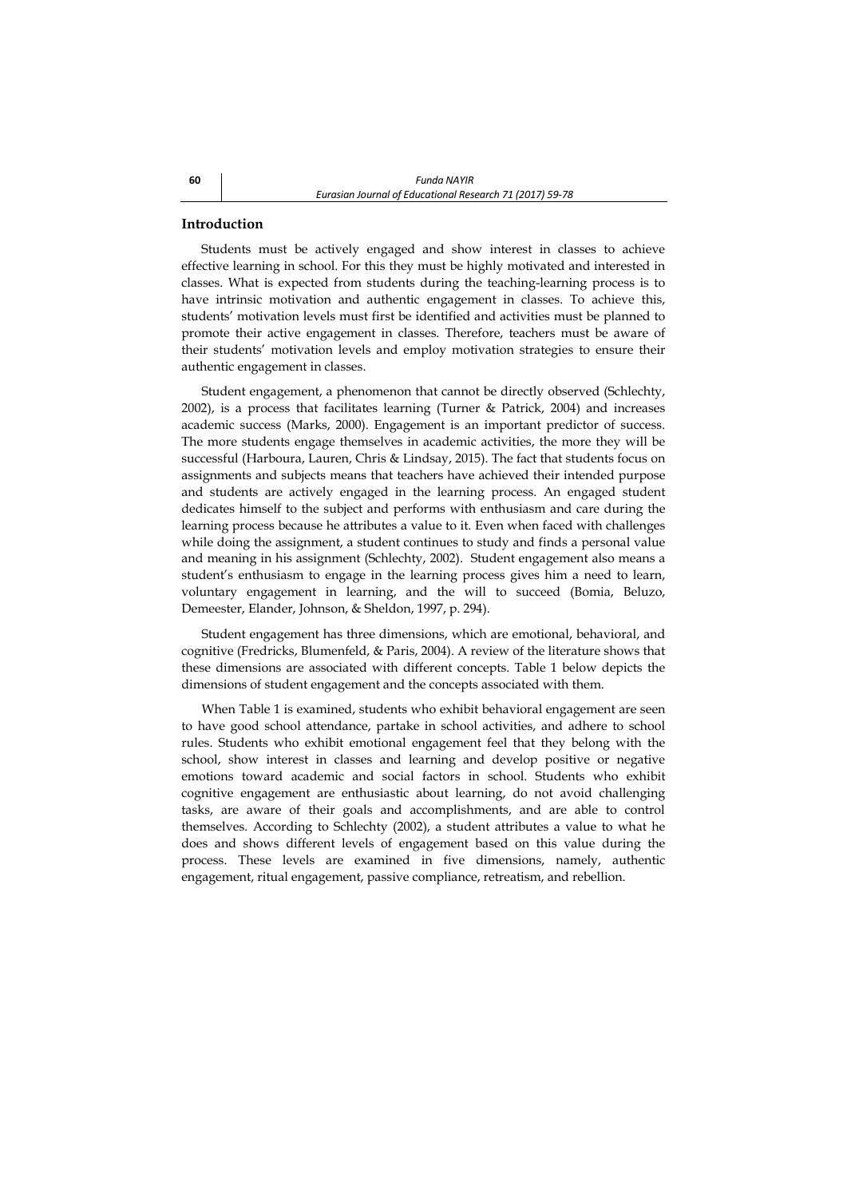## **Introduction**

Students must be actively engaged and show interest in classes to achieve effective learning in school. For this they must be highly motivated and interested in classes. What is expected from students during the teaching-learning process is to have intrinsic motivation and authentic engagement in classes. To achieve this, students' motivation levels must first be identified and activities must be planned to promote their active engagement in classes. Therefore, teachers must be aware of their students' motivation levels and employ motivation strategies to ensure their authentic engagement in classes.

Student engagement, a phenomenon that cannot be directly observed (Schlechty, 2002), is a process that facilitates learning (Turner & Patrick, 2004) and increases academic success (Marks, 2000). Engagement is an important predictor of success. The more students engage themselves in academic activities, the more they will be successful (Harboura, Lauren, Chris & Lindsay, 2015). The fact that students focus on assignments and subjects means that teachers have achieved their intended purpose and students are actively engaged in the learning process. An engaged student dedicates himself to the subject and performs with enthusiasm and care during the learning process because he attributes a value to it. Even when faced with challenges while doing the assignment, a student continues to study and finds a personal value and meaning in his assignment (Schlechty, 2002). Student engagement also means a student's enthusiasm to engage in the learning process gives him a need to learn, voluntary engagement in learning, and the will to succeed (Bomia, Beluzo, Demeester, Elander, Johnson, & Sheldon, 1997, p. 294).

Student engagement has three dimensions, which are emotional, behavioral, and cognitive (Fredricks, Blumenfeld, & Paris, 2004). A review of the literature shows that these dimensions are associated with different concepts. Table 1 below depicts the dimensions of student engagement and the concepts associated with them.

When Table 1 is examined, students who exhibit behavioral engagement are seen to have good school attendance, partake in school activities, and adhere to school rules. Students who exhibit emotional engagement feel that they belong with the school, show interest in classes and learning and develop positive or negative emotions toward academic and social factors in school. Students who exhibit cognitive engagement are enthusiastic about learning, do not avoid challenging tasks, are aware of their goals and accomplishments, and are able to control themselves. According to Schlechty (2002), a student attributes a value to what he does and shows different levels of engagement based on this value during the process. These levels are examined in five dimensions, namely, authentic engagement, ritual engagement, passive compliance, retreatism, and rebellion.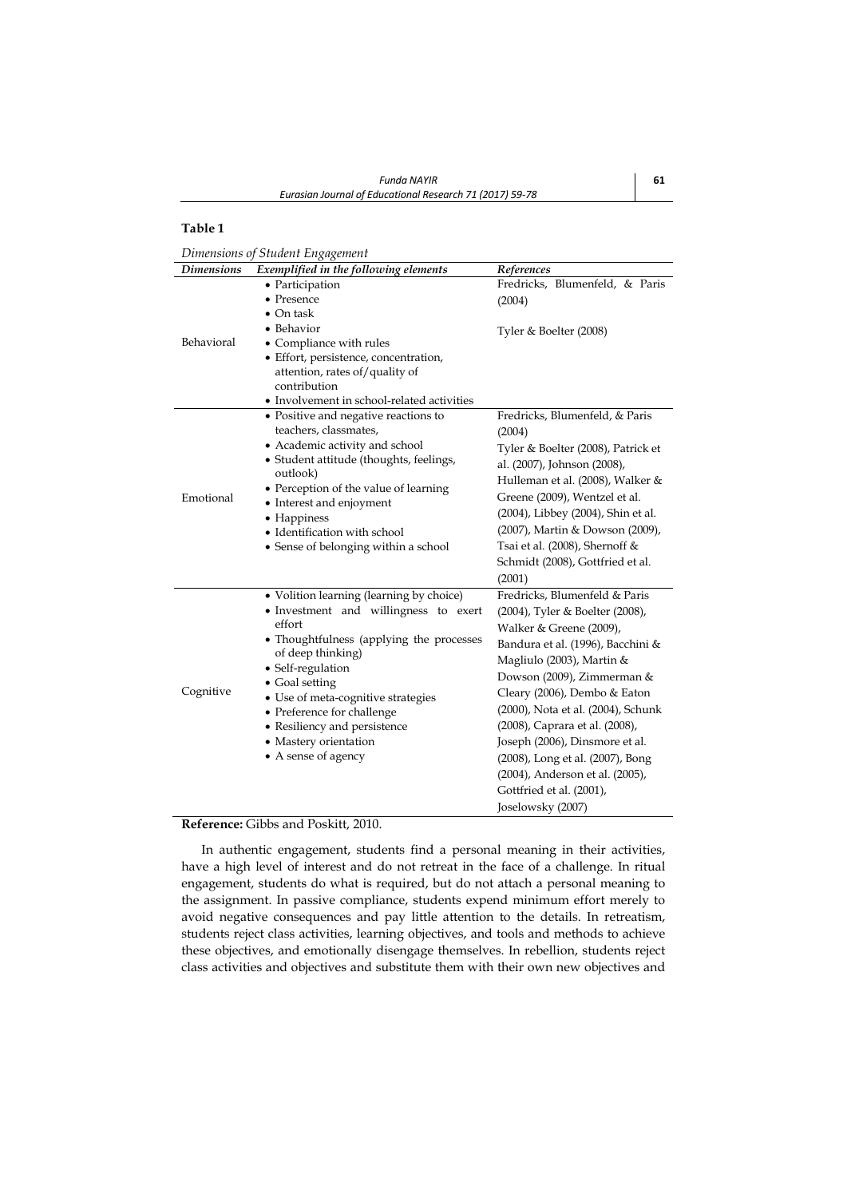## **Table 1**

*Dimensions of Student Engagement*

| <b>Dimensions</b> | $\circ$ $\circ$<br>Exemplified in the following elements                                                                                                                                                                                                                                                                                                | References                                                                                                                                                                                                                                                                                                                                                                                                                                                    |
|-------------------|---------------------------------------------------------------------------------------------------------------------------------------------------------------------------------------------------------------------------------------------------------------------------------------------------------------------------------------------------------|---------------------------------------------------------------------------------------------------------------------------------------------------------------------------------------------------------------------------------------------------------------------------------------------------------------------------------------------------------------------------------------------------------------------------------------------------------------|
|                   | • Participation<br>• Presence                                                                                                                                                                                                                                                                                                                           | Fredricks, Blumenfeld, & Paris<br>(2004)                                                                                                                                                                                                                                                                                                                                                                                                                      |
| Behavioral        | $\bullet$ On task<br>• Behavior<br>• Compliance with rules<br>• Effort, persistence, concentration,<br>attention, rates of/quality of<br>contribution<br>• Involvement in school-related activities                                                                                                                                                     | Tyler & Boelter (2008)                                                                                                                                                                                                                                                                                                                                                                                                                                        |
| Emotional         | • Positive and negative reactions to<br>teachers, classmates,<br>• Academic activity and school<br>• Student attitude (thoughts, feelings,<br>outlook)<br>• Perception of the value of learning<br>• Interest and enjoyment<br>• Happiness<br>• Identification with school<br>• Sense of belonging within a school                                      | Fredricks, Blumenfeld, & Paris<br>(2004)<br>Tyler & Boelter (2008), Patrick et<br>al. (2007), Johnson (2008),<br>Hulleman et al. (2008), Walker &<br>Greene (2009), Wentzel et al.<br>(2004), Libbey (2004), Shin et al.<br>(2007), Martin & Dowson (2009),<br>Tsai et al. (2008), Shernoff &<br>Schmidt (2008), Gottfried et al.<br>(2001)                                                                                                                   |
| Cognitive         | • Volition learning (learning by choice)<br>• Investment and willingness to exert<br>effort<br>• Thoughtfulness (applying the processes<br>of deep thinking)<br>• Self-regulation<br>• Goal setting<br>• Use of meta-cognitive strategies<br>• Preference for challenge<br>• Resiliency and persistence<br>• Mastery orientation<br>• A sense of agency | Fredricks, Blumenfeld & Paris<br>(2004), Tyler & Boelter (2008),<br>Walker & Greene (2009),<br>Bandura et al. (1996), Bacchini &<br>Magliulo (2003), Martin &<br>Dowson (2009), Zimmerman &<br>Cleary (2006), Dembo & Eaton<br>(2000), Nota et al. (2004), Schunk<br>(2008), Caprara et al. (2008),<br>Joseph (2006), Dinsmore et al.<br>(2008), Long et al. (2007), Bong<br>(2004), Anderson et al. (2005),<br>Gottfried et al. (2001),<br>Joselowsky (2007) |

## **Reference:** Gibbs and Poskitt, 2010.

In authentic engagement, students find a personal meaning in their activities, have a high level of interest and do not retreat in the face of a challenge. In ritual engagement, students do what is required, but do not attach a personal meaning to the assignment. In passive compliance, students expend minimum effort merely to avoid negative consequences and pay little attention to the details. In retreatism, students reject class activities, learning objectives, and tools and methods to achieve these objectives, and emotionally disengage themselves. In rebellion, students reject class activities and objectives and substitute them with their own new objectives and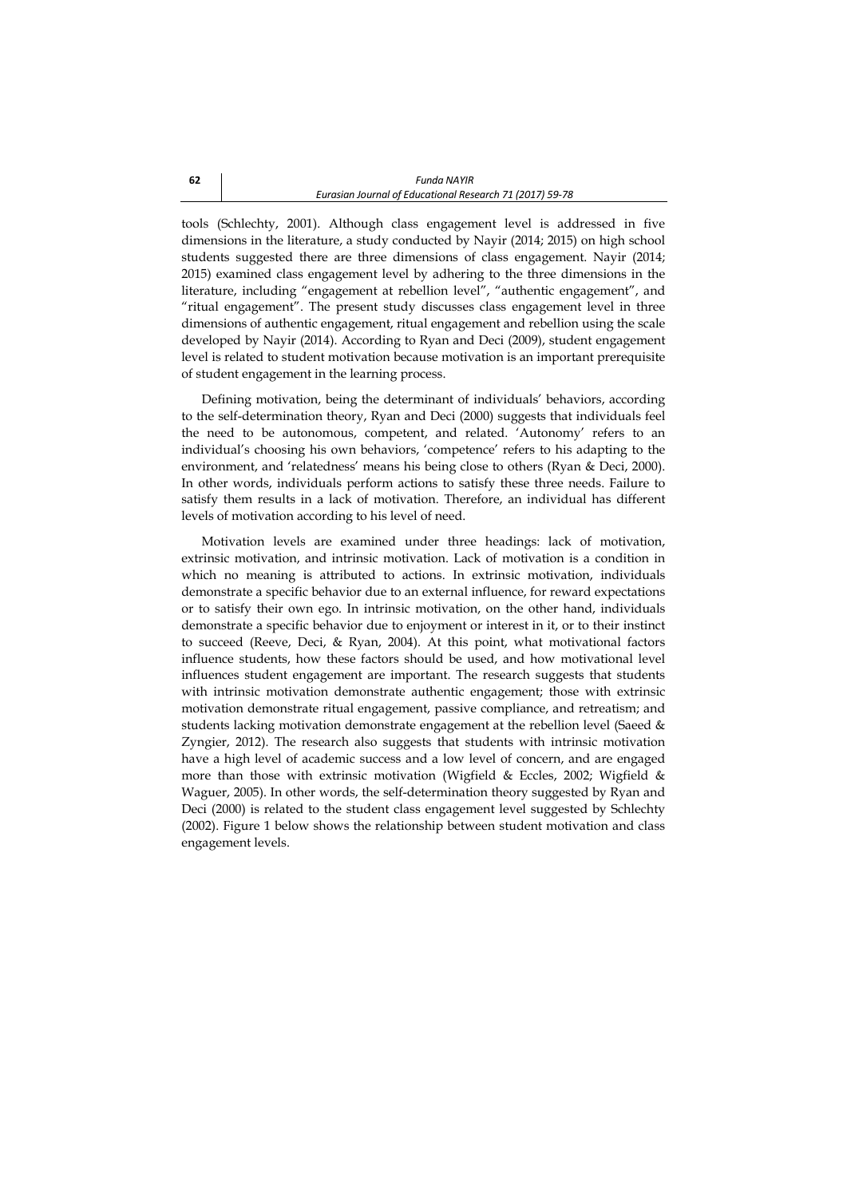tools (Schlechty, 2001). Although class engagement level is addressed in five dimensions in the literature, a study conducted by Nayir (2014; 2015) on high school students suggested there are three dimensions of class engagement. Nayir (2014; 2015) examined class engagement level by adhering to the three dimensions in the literature, including "engagement at rebellion level", "authentic engagement", and "ritual engagement". The present study discusses class engagement level in three dimensions of authentic engagement, ritual engagement and rebellion using the scale developed by Nayir (2014). According to Ryan and Deci (2009), student engagement level is related to student motivation because motivation is an important prerequisite of student engagement in the learning process.

Defining motivation, being the determinant of individuals' behaviors, according to the self-determination theory, Ryan and Deci (2000) suggests that individuals feel the need to be autonomous, competent, and related. 'Autonomy' refers to an individual's choosing his own behaviors, 'competence' refers to his adapting to the environment, and 'relatedness' means his being close to others (Ryan & Deci, 2000). In other words, individuals perform actions to satisfy these three needs. Failure to satisfy them results in a lack of motivation. Therefore, an individual has different levels of motivation according to his level of need.

Motivation levels are examined under three headings: lack of motivation, extrinsic motivation, and intrinsic motivation. Lack of motivation is a condition in which no meaning is attributed to actions. In extrinsic motivation, individuals demonstrate a specific behavior due to an external influence, for reward expectations or to satisfy their own ego. In intrinsic motivation, on the other hand, individuals demonstrate a specific behavior due to enjoyment or interest in it, or to their instinct to succeed (Reeve, Deci, & Ryan, 2004). At this point, what motivational factors influence students, how these factors should be used, and how motivational level influences student engagement are important. The research suggests that students with intrinsic motivation demonstrate authentic engagement; those with extrinsic motivation demonstrate ritual engagement, passive compliance, and retreatism; and students lacking motivation demonstrate engagement at the rebellion level (Saeed & Zyngier, 2012). The research also suggests that students with intrinsic motivation have a high level of academic success and a low level of concern, and are engaged more than those with extrinsic motivation (Wigfield & Eccles, 2002; Wigfield & Waguer, 2005). In other words, the self-determination theory suggested by Ryan and Deci (2000) is related to the student class engagement level suggested by Schlechty (2002). Figure 1 below shows the relationship between student motivation and class engagement levels.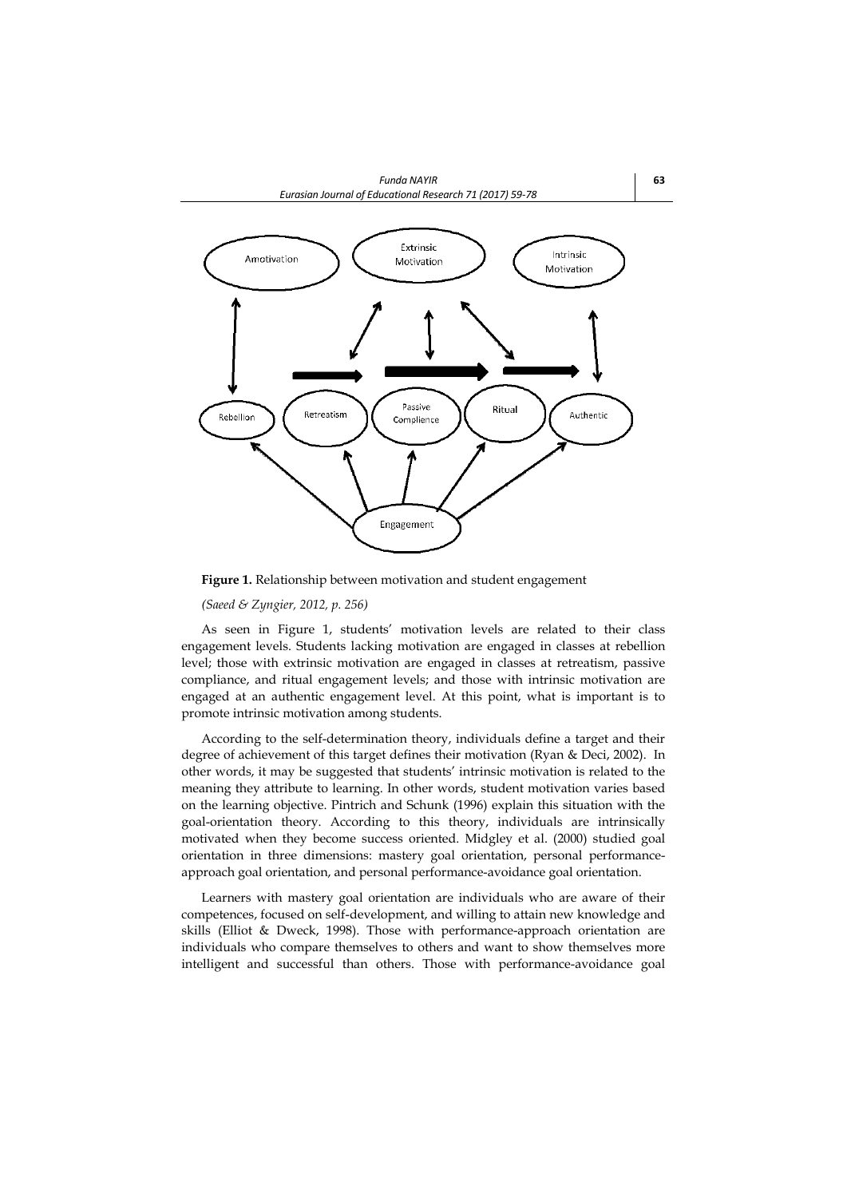

**Figure 1.** Relationship between motivation and student engagement

## *(Saeed & Zyngier, 2012, p. 256)*

As seen in Figure 1, students' motivation levels are related to their class engagement levels. Students lacking motivation are engaged in classes at rebellion level; those with extrinsic motivation are engaged in classes at retreatism, passive compliance, and ritual engagement levels; and those with intrinsic motivation are engaged at an authentic engagement level. At this point, what is important is to promote intrinsic motivation among students.

According to the self-determination theory, individuals define a target and their degree of achievement of this target defines their motivation (Ryan & Deci, 2002). In other words, it may be suggested that students' intrinsic motivation is related to the meaning they attribute to learning. In other words, student motivation varies based on the learning objective. Pintrich and Schunk (1996) explain this situation with the goal-orientation theory. According to this theory, individuals are intrinsically motivated when they become success oriented. Midgley et al. (2000) studied goal orientation in three dimensions: mastery goal orientation, personal performanceapproach goal orientation, and personal performance-avoidance goal orientation.

Learners with mastery goal orientation are individuals who are aware of their competences, focused on self-development, and willing to attain new knowledge and skills (Elliot & Dweck, 1998). Those with performance-approach orientation are individuals who compare themselves to others and want to show themselves more intelligent and successful than others. Those with performance-avoidance goal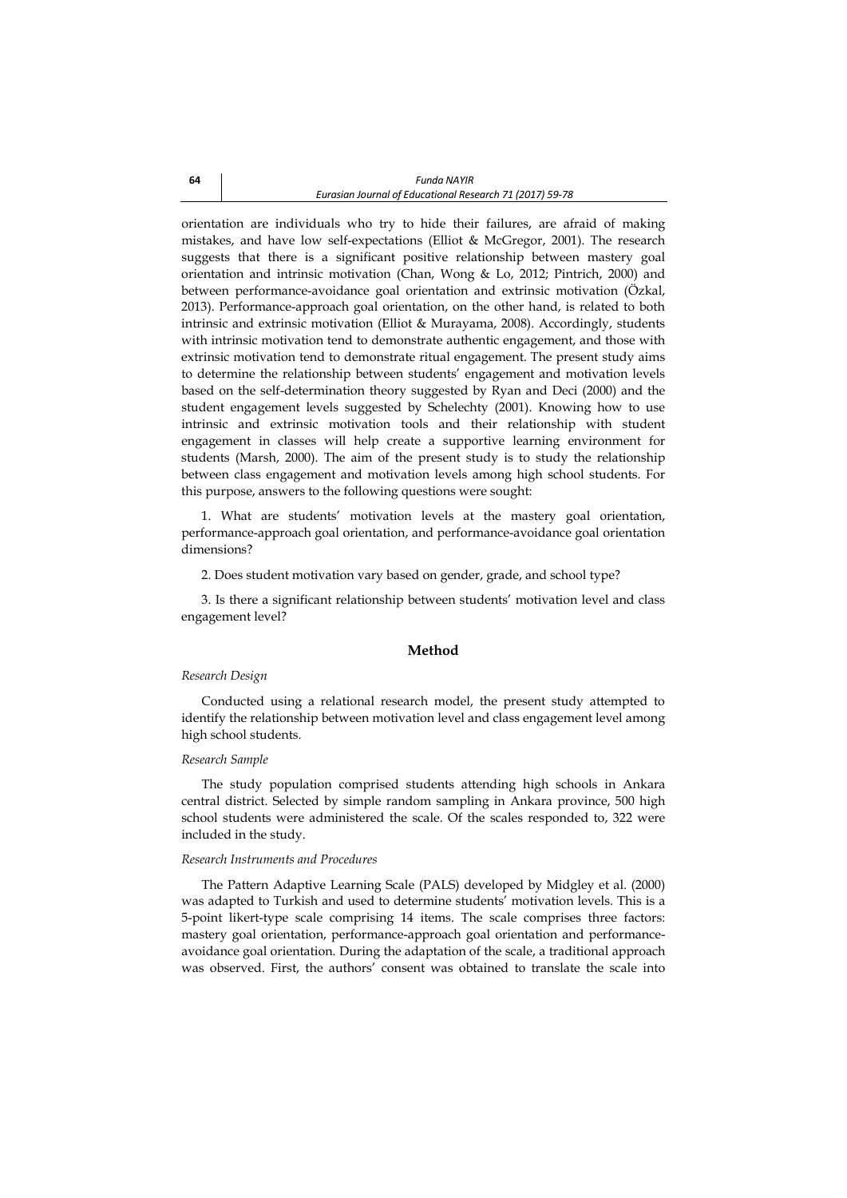orientation are individuals who try to hide their failures, are afraid of making mistakes, and have low self-expectations (Elliot & McGregor, 2001). The research suggests that there is a significant positive relationship between mastery goal orientation and intrinsic motivation (Chan, Wong & Lo, 2012; Pintrich, 2000) and between performance-avoidance goal orientation and extrinsic motivation (Özkal, 2013). Performance-approach goal orientation, on the other hand, is related to both intrinsic and extrinsic motivation (Elliot & Murayama, 2008). Accordingly, students with intrinsic motivation tend to demonstrate authentic engagement, and those with extrinsic motivation tend to demonstrate ritual engagement. The present study aims to determine the relationship between students' engagement and motivation levels based on the self-determination theory suggested by Ryan and Deci (2000) and the student engagement levels suggested by Schelechty (2001). Knowing how to use intrinsic and extrinsic motivation tools and their relationship with student engagement in classes will help create a supportive learning environment for students (Marsh, 2000). The aim of the present study is to study the relationship between class engagement and motivation levels among high school students. For this purpose, answers to the following questions were sought:

1. What are students' motivation levels at the mastery goal orientation, performance-approach goal orientation, and performance-avoidance goal orientation dimensions?

2. Does student motivation vary based on gender, grade, and school type?

3. Is there a significant relationship between students' motivation level and class engagement level?

### **Method**

## *Research Design*

Conducted using a relational research model, the present study attempted to identify the relationship between motivation level and class engagement level among high school students.

### *Research Sample*

The study population comprised students attending high schools in Ankara central district. Selected by simple random sampling in Ankara province, 500 high school students were administered the scale. Of the scales responded to, 322 were included in the study.

#### *Research Instruments and Procedures*

The Pattern Adaptive Learning Scale (PALS) developed by Midgley et al. (2000) was adapted to Turkish and used to determine students' motivation levels. This is a 5-point likert-type scale comprising 14 items. The scale comprises three factors: mastery goal orientation, performance-approach goal orientation and performanceavoidance goal orientation. During the adaptation of the scale, a traditional approach was observed. First, the authors' consent was obtained to translate the scale into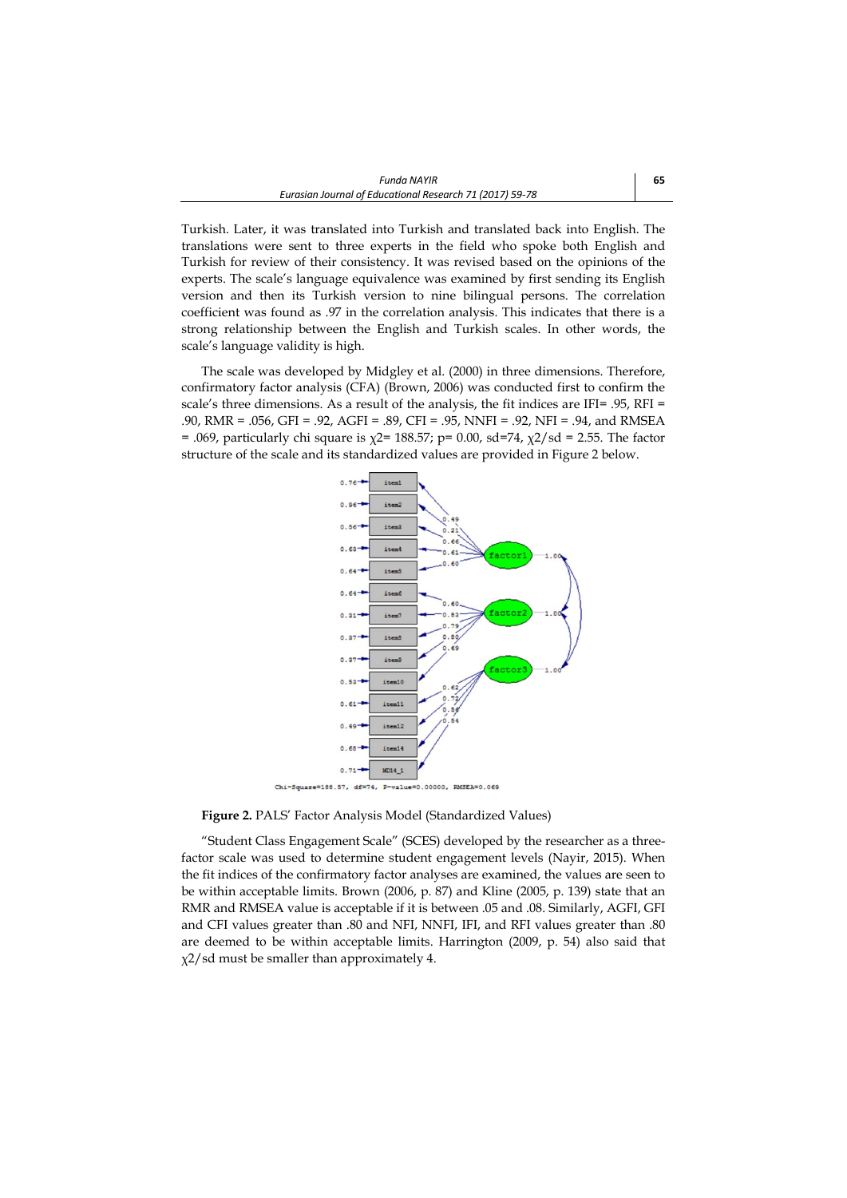Turkish. Later, it was translated into Turkish and translated back into English. The translations were sent to three experts in the field who spoke both English and Turkish for review of their consistency. It was revised based on the opinions of the experts. The scale's language equivalence was examined by first sending its English version and then its Turkish version to nine bilingual persons. The correlation coefficient was found as .97 in the correlation analysis. This indicates that there is a strong relationship between the English and Turkish scales. In other words, the scale's language validity is high.

The scale was developed by Midgley et al. (2000) in three dimensions. Therefore, confirmatory factor analysis (CFA) (Brown, 2006) was conducted first to confirm the scale's three dimensions. As a result of the analysis, the fit indices are IFI= .95, RFI = .90, RMR = .056, GFI = .92, AGFI = .89, CFI = .95, NNFI = .92, NFI = .94, and RMSEA = .069, particularly chi square is  $\chi$ 2= 188.57; p= 0.00, sd=74,  $\chi$ 2/sd = 2.55. The factor structure of the scale and its standardized values are provided in Figure 2 below.



 $Chi-3quare=188.57, df=74,$ 

**Figure 2.** PALS' Factor Analysis Model (Standardized Values)

"Student Class Engagement Scale" (SCES) developed by the researcher as a threefactor scale was used to determine student engagement levels (Nayir, 2015). When the fit indices of the confirmatory factor analyses are examined, the values are seen to be within acceptable limits. Brown (2006, p. 87) and Kline (2005, p. 139) state that an RMR and RMSEA value is acceptable if it is between .05 and .08. Similarly, AGFI, GFI and CFI values greater than .80 and NFI, NNFI, IFI, and RFI values greater than .80 are deemed to be within acceptable limits. Harrington (2009, p. 54) also said that χ2/sd must be smaller than approximately 4.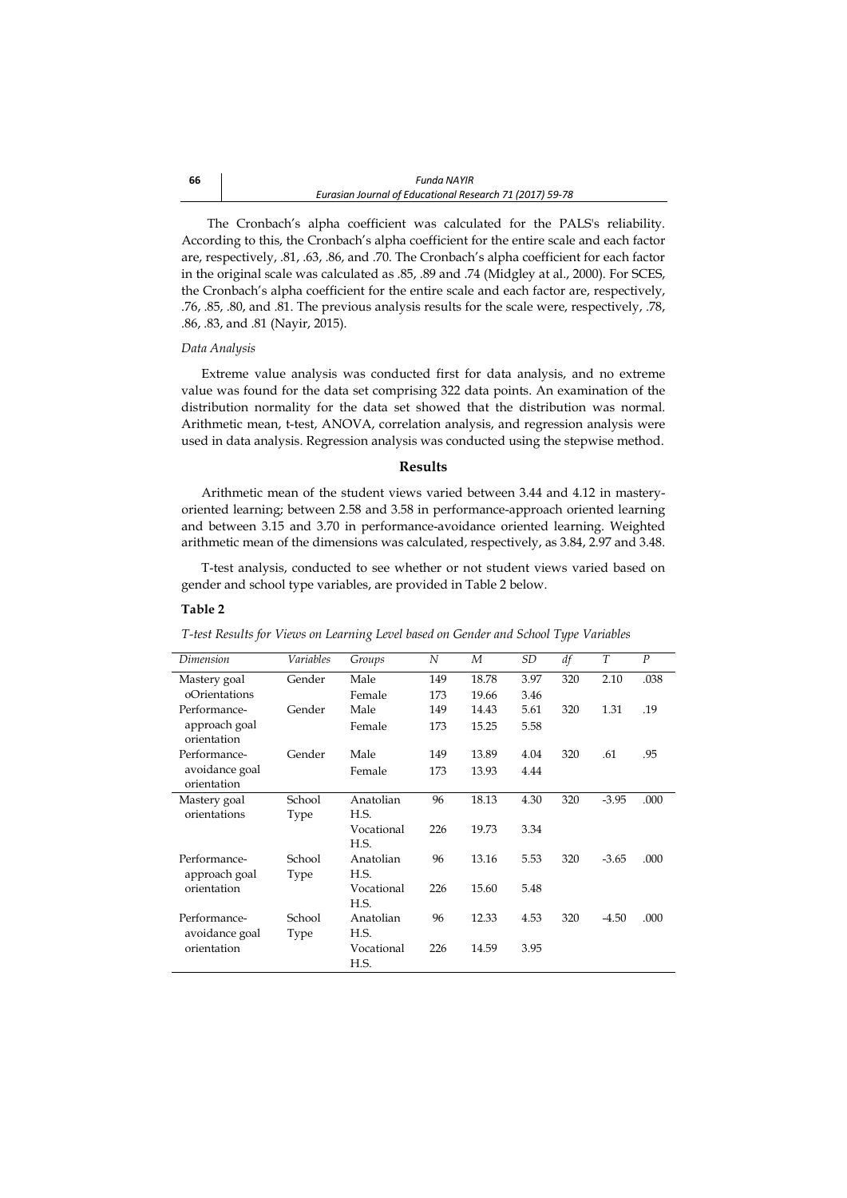The Cronbach's alpha coefficient was calculated for the PALS's reliability. According to this, the Cronbach's alpha coefficient for the entire scale and each factor are, respectively, .81, .63, .86, and .70. The Cronbach's alpha coefficient for each factor in the original scale was calculated as .85, .89 and .74 (Midgley at al., 2000). For SCES, the Cronbach's alpha coefficient for the entire scale and each factor are, respectively, .76, .85, .80, and .81. The previous analysis results for the scale were, respectively, .78, .86, .83, and .81 (Nayir, 2015).

#### *Data Analysis*

Extreme value analysis was conducted first for data analysis, and no extreme value was found for the data set comprising 322 data points. An examination of the distribution normality for the data set showed that the distribution was normal. Arithmetic mean, t-test, ANOVA, correlation analysis, and regression analysis were used in data analysis. Regression analysis was conducted using the stepwise method.

#### **Results**

Arithmetic mean of the student views varied between 3.44 and 4.12 in masteryoriented learning; between 2.58 and 3.58 in performance-approach oriented learning and between 3.15 and 3.70 in performance-avoidance oriented learning. Weighted arithmetic mean of the dimensions was calculated, respectively, as 3.84, 2.97 and 3.48.

T-test analysis, conducted to see whether or not student views varied based on gender and school type variables, are provided in Table 2 below.

#### **Table 2**

*T-test Results for Views on Learning Level based on Gender and School Type Variables*

| Dimension                    | Variables | Groups     | N   | M     | SD   | df  | T       | $\boldsymbol{P}$ |
|------------------------------|-----------|------------|-----|-------|------|-----|---------|------------------|
| Mastery goal                 | Gender    | Male       | 149 | 18.78 | 3.97 | 320 | 2.10    | .038             |
| oOrientations                |           | Female     | 173 | 19.66 | 3.46 |     |         |                  |
| Performance-                 | Gender    | Male       | 149 | 14.43 | 5.61 | 320 | 1.31    | .19              |
| approach goal<br>orientation |           | Female     | 173 | 15.25 | 5.58 |     |         |                  |
| Performance-                 | Gender    | Male       | 149 | 13.89 | 4.04 | 320 | .61     | .95              |
| avoidance goal               |           | Female     | 173 | 13.93 | 4.44 |     |         |                  |
| orientation                  |           |            |     |       |      |     |         |                  |
| Mastery goal                 | School    | Anatolian  | 96  | 18.13 | 4.30 | 320 | $-3.95$ | .000             |
| orientations                 | Type      | H.S.       |     |       |      |     |         |                  |
|                              |           | Vocational | 226 | 19.73 | 3.34 |     |         |                  |
|                              |           | H.S.       |     |       |      |     |         |                  |
| Performance-                 | School    | Anatolian  | 96  | 13.16 | 5.53 | 320 | $-3.65$ | .000             |
| approach goal                | Type      | H.S.       |     |       |      |     |         |                  |
| orientation                  |           | Vocational | 226 | 15.60 | 5.48 |     |         |                  |
|                              |           | H.S.       |     |       |      |     |         |                  |
| Performance-                 | School    | Anatolian  | 96  | 12.33 | 4.53 | 320 | $-4.50$ | .000             |
| avoidance goal               | Type      | H.S.       |     |       |      |     |         |                  |
| orientation                  |           | Vocational | 226 | 14.59 | 3.95 |     |         |                  |
|                              |           | H.S.       |     |       |      |     |         |                  |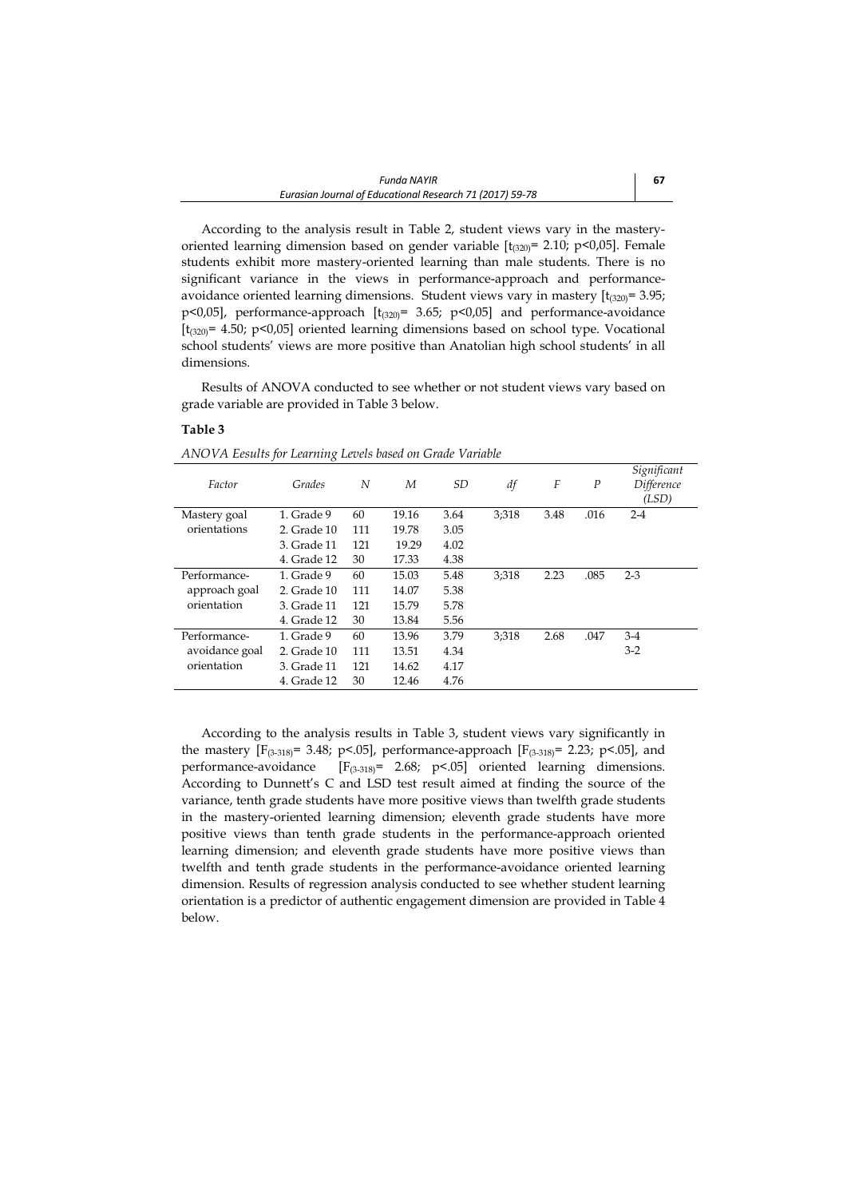According to the analysis result in Table 2, student views vary in the masteryoriented learning dimension based on gender variable  $[t_{(320)}= 2.10; p<0.05]$ . Female students exhibit more mastery-oriented learning than male students. There is no significant variance in the views in performance-approach and performanceavoidance oriented learning dimensions. Student views vary in mastery  $[t_{(320)}=3.95;$ p<0,05], performance-approach [t<sub>(320)</sub>= 3.65; p<0,05] and performance-avoidance  $[t_{(320)}= 4.50; p<0.05]$  oriented learning dimensions based on school type. Vocational school students' views are more positive than Anatolian high school students' in all dimensions.

Results of ANOVA conducted to see whether or not student views vary based on grade variable are provided in Table 3 below.

### **Table 3**

*ANOVA Eesults for Learning Levels based on Grade Variable*

|                |             |     |       |      |       |      |                  | Significant |
|----------------|-------------|-----|-------|------|-------|------|------------------|-------------|
| Factor         | Grades      | N   | M     | SD   | df    | F    | $\boldsymbol{P}$ | Difference  |
|                |             |     |       |      |       |      |                  | (LSD)       |
| Mastery goal   | 1. Grade 9  | 60  | 19.16 | 3.64 | 3;318 | 3.48 | .016             | $2 - 4$     |
| orientations   | 2. Grade 10 | 111 | 19.78 | 3.05 |       |      |                  |             |
|                | 3. Grade 11 | 121 | 19.29 | 4.02 |       |      |                  |             |
|                | 4. Grade 12 | 30  | 17.33 | 4.38 |       |      |                  |             |
| Performance-   | 1. Grade 9  | 60  | 15.03 | 5.48 | 3:318 | 2.23 | .085             | $2 - 3$     |
| approach goal  | 2. Grade 10 | 111 | 14.07 | 5.38 |       |      |                  |             |
| orientation    | 3. Grade 11 | 121 | 15.79 | 5.78 |       |      |                  |             |
|                | 4. Grade 12 | 30  | 13.84 | 5.56 |       |      |                  |             |
| Performance-   | 1. Grade 9  | 60  | 13.96 | 3.79 | 3:318 | 2.68 | .047             | $3-4$       |
| avoidance goal | 2. Grade 10 | 111 | 13.51 | 4.34 |       |      |                  | $3-2$       |
| orientation    | 3. Grade 11 | 121 | 14.62 | 4.17 |       |      |                  |             |
|                | 4. Grade 12 | 30  | 12.46 | 4.76 |       |      |                  |             |

According to the analysis results in Table 3, student views vary significantly in the mastery [F<sub>(3-318)</sub>= 3.48; p<.05], performance-approach [F<sub>(3-318)</sub>= 2.23; p<.05], and performance-avoidance [F<sub>(3-318)</sub>= 2.68; p<.05] oriented learning dimensions. According to Dunnett's C and LSD test result aimed at finding the source of the variance, tenth grade students have more positive views than twelfth grade students in the mastery-oriented learning dimension; eleventh grade students have more positive views than tenth grade students in the performance-approach oriented learning dimension; and eleventh grade students have more positive views than twelfth and tenth grade students in the performance-avoidance oriented learning dimension. Results of regression analysis conducted to see whether student learning orientation is a predictor of authentic engagement dimension are provided in Table 4 below.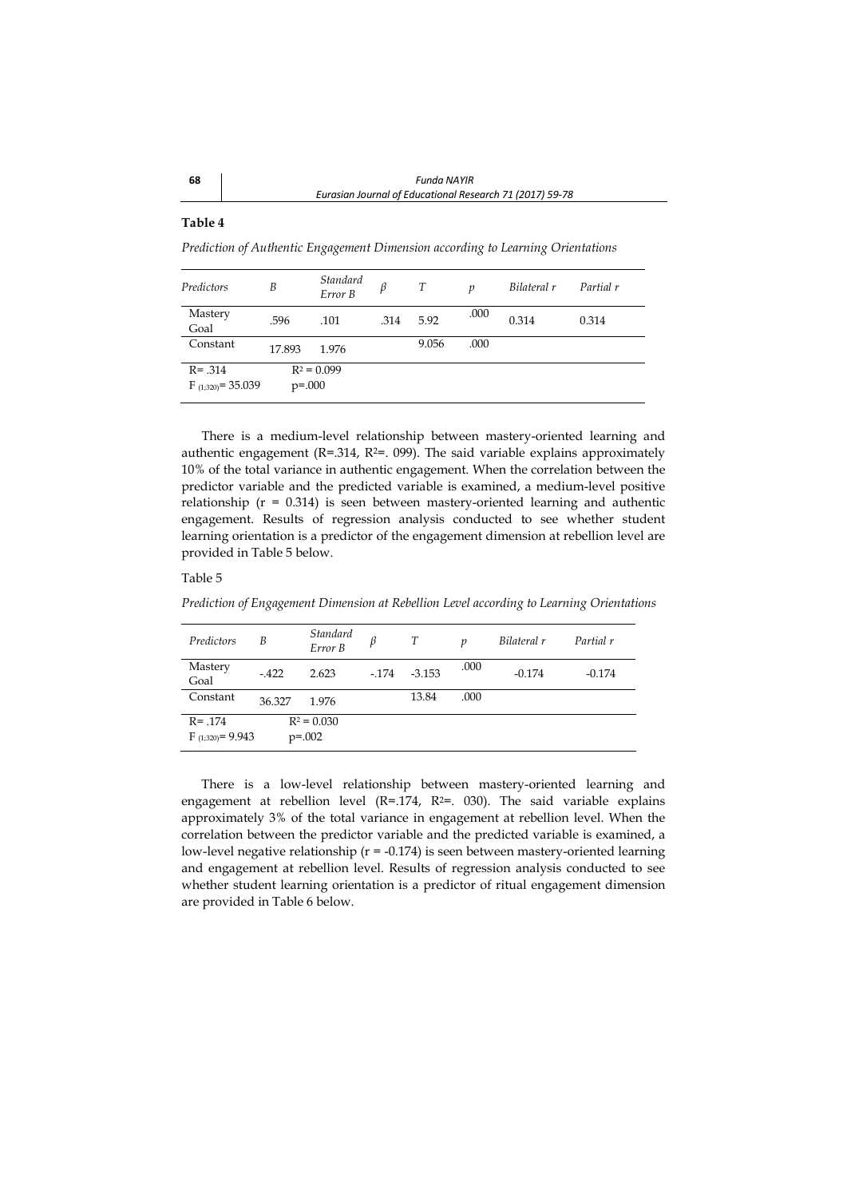## **Table 4**

*Prediction of Authentic Engagement Dimension according to Learning Orientations*

| Predictors                           | B           | <b>Standard</b><br>Error B | β    | T     | p    | Bilateral r | Partial r |
|--------------------------------------|-------------|----------------------------|------|-------|------|-------------|-----------|
| Mastery<br>Goal                      | .596        | .101                       | .314 | 5.92  | .000 | 0.314       | 0.314     |
| Constant                             | 17.893      | 1.976                      |      | 9.056 | .000 |             |           |
| $R = .314$<br>$F_{(1;320)} = 35.039$ | $p = 0.000$ | $R^2 = 0.099$              |      |       |      |             |           |

There is a medium-level relationship between mastery-oriented learning and authentic engagement ( $R = 0.314$ ,  $R^2 = 0.099$ ). The said variable explains approximately 10% of the total variance in authentic engagement. When the correlation between the predictor variable and the predicted variable is examined, a medium-level positive relationship (r = 0.314) is seen between mastery-oriented learning and authentic engagement. Results of regression analysis conducted to see whether student learning orientation is a predictor of the engagement dimension at rebellion level are provided in Table 5 below.

#### Table 5

*Prediction of Engagement Dimension at Rebellion Level according to Learning Orientations*

| Predictors            | В      | Standard<br>Error B | β      |          | p    | Bilateral r | Partial r |
|-----------------------|--------|---------------------|--------|----------|------|-------------|-----------|
| Mastery<br>Goal       | $-422$ | 2.623               | $-174$ | $-3.153$ | .000 | $-0.174$    | $-0.174$  |
| Constant              | 36.327 | 1.976               |        | 13.84    | .000 |             |           |
| $R = .174$            |        | $R^2 = 0.030$       |        |          |      |             |           |
| $F_{(1,320)} = 9.943$ |        | $p=.002$            |        |          |      |             |           |

There is a low-level relationship between mastery-oriented learning and engagement at rebellion level (R=.174, R<sup>2=</sup>. 030). The said variable explains approximately 3% of the total variance in engagement at rebellion level. When the correlation between the predictor variable and the predicted variable is examined, a low-level negative relationship (r = -0.174) is seen between mastery-oriented learning and engagement at rebellion level. Results of regression analysis conducted to see whether student learning orientation is a predictor of ritual engagement dimension are provided in Table 6 below.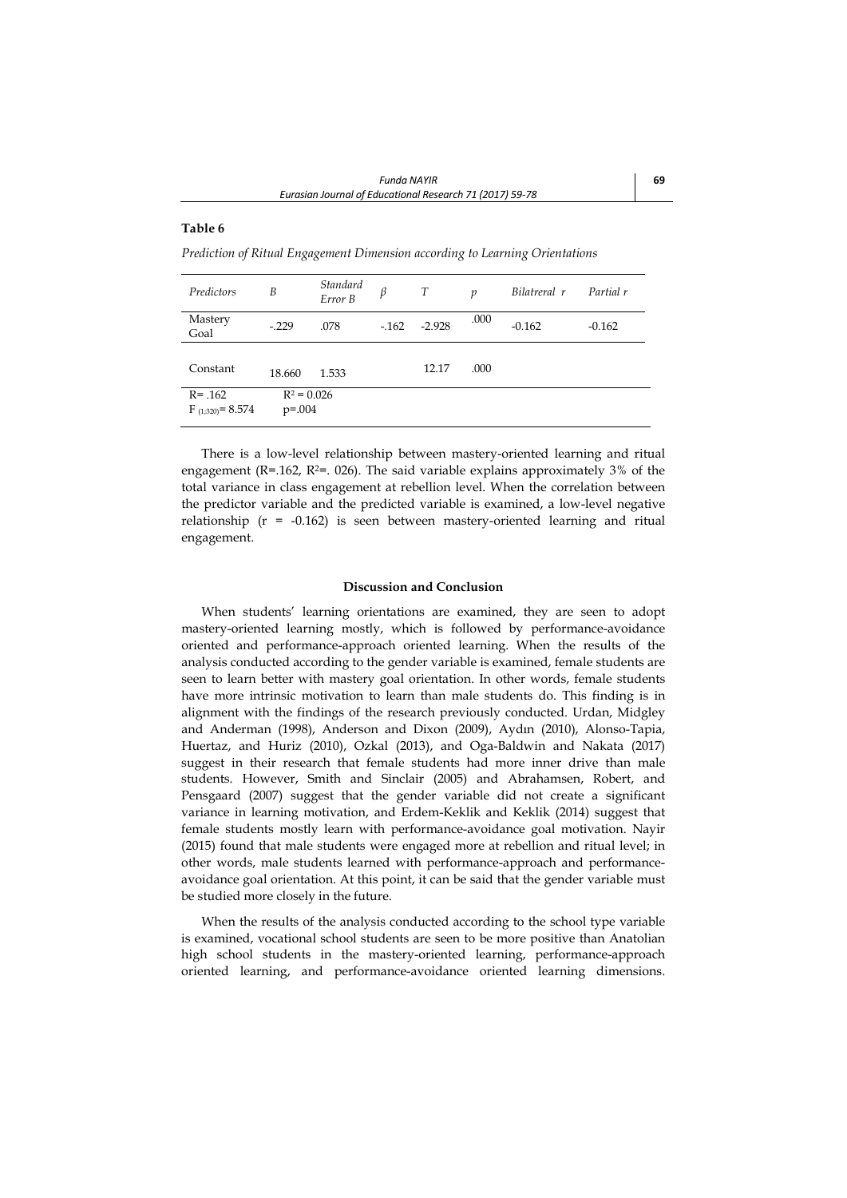## **Table 6**

*Prediction of Ritual Engagement Dimension according to Learning Orientations*

| Predictors            | B             | Standard<br>Error B | β      | T        | $\boldsymbol{p}$ | Bilatreral r | Partial r |
|-----------------------|---------------|---------------------|--------|----------|------------------|--------------|-----------|
| Mastery<br>Goal       | $-.229$       | .078                | $-162$ | $-2.928$ | .000             | $-0.162$     | $-0.162$  |
|                       |               |                     |        |          |                  |              |           |
| Constant              | 18.660        | 1.533               |        | 12.17    | .000             |              |           |
| $R = .162$            | $R^2 = 0.026$ |                     |        |          |                  |              |           |
| $F_{(1,320)} = 8.574$ | $p = 0.004$   |                     |        |          |                  |              |           |

There is a low-level relationship between mastery-oriented learning and ritual engagement (R=.162, R<sup>2=</sup>. 026). The said variable explains approximately 3% of the total variance in class engagement at rebellion level. When the correlation between the predictor variable and the predicted variable is examined, a low-level negative relationship (r = -0.162) is seen between mastery-oriented learning and ritual engagement.

#### **Discussion and Conclusion**

When students' learning orientations are examined, they are seen to adopt mastery-oriented learning mostly, which is followed by performance-avoidance oriented and performance-approach oriented learning. When the results of the analysis conducted according to the gender variable is examined, female students are seen to learn better with mastery goal orientation. In other words, female students have more intrinsic motivation to learn than male students do. This finding is in alignment with the findings of the research previously conducted. Urdan, Midgley and Anderman (1998), Anderson and Dixon (2009), Aydın (2010), Alonso-Tapia, Huertaz, and Huriz (2010), Ozkal (2013), and Oga-Baldwin and Nakata (2017) suggest in their research that female students had more inner drive than male students. However, Smith and Sinclair (2005) and Abrahamsen, Robert, and Pensgaard (2007) suggest that the gender variable did not create a significant variance in learning motivation, and Erdem-Keklik and Keklik (2014) suggest that female students mostly learn with performance-avoidance goal motivation. Nayir (2015) found that male students were engaged more at rebellion and ritual level; in other words, male students learned with performance-approach and performanceavoidance goal orientation. At this point, it can be said that the gender variable must be studied more closely in the future.

When the results of the analysis conducted according to the school type variable is examined, vocational school students are seen to be more positive than Anatolian high school students in the mastery-oriented learning, performance-approach oriented learning, and performance-avoidance oriented learning dimensions.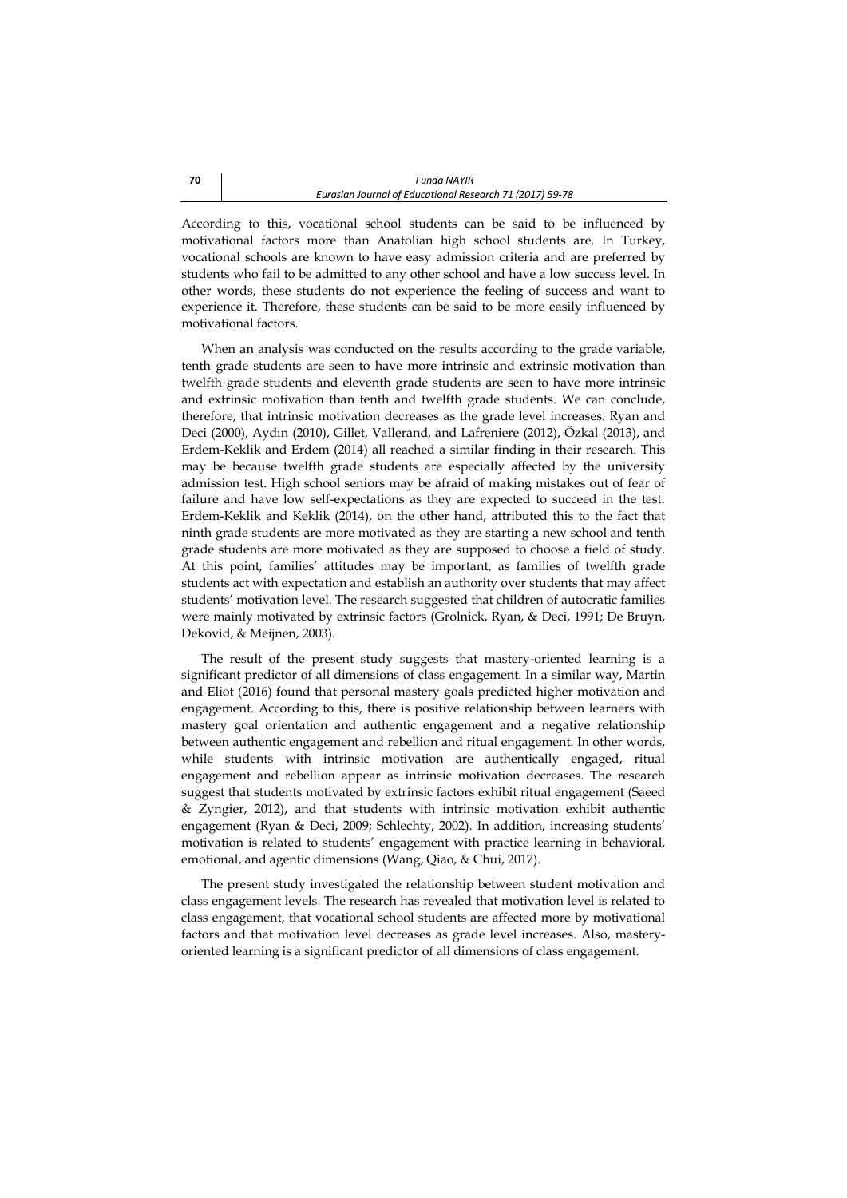According to this, vocational school students can be said to be influenced by motivational factors more than Anatolian high school students are. In Turkey, vocational schools are known to have easy admission criteria and are preferred by students who fail to be admitted to any other school and have a low success level. In other words, these students do not experience the feeling of success and want to experience it. Therefore, these students can be said to be more easily influenced by motivational factors.

When an analysis was conducted on the results according to the grade variable, tenth grade students are seen to have more intrinsic and extrinsic motivation than twelfth grade students and eleventh grade students are seen to have more intrinsic and extrinsic motivation than tenth and twelfth grade students. We can conclude, therefore, that intrinsic motivation decreases as the grade level increases. Ryan and Deci (2000), Aydın (2010), Gillet, Vallerand, and Lafreniere (2012), Özkal (2013), and Erdem-Keklik and Erdem (2014) all reached a similar finding in their research. This may be because twelfth grade students are especially affected by the university admission test. High school seniors may be afraid of making mistakes out of fear of failure and have low self-expectations as they are expected to succeed in the test. Erdem-Keklik and Keklik (2014), on the other hand, attributed this to the fact that ninth grade students are more motivated as they are starting a new school and tenth grade students are more motivated as they are supposed to choose a field of study. At this point, families' attitudes may be important, as families of twelfth grade students act with expectation and establish an authority over students that may affect students' motivation level. The research suggested that children of autocratic families were mainly motivated by extrinsic factors (Grolnick, Ryan, & Deci, 1991; De Bruyn, Dekovid, & Meijnen, 2003).

The result of the present study suggests that mastery-oriented learning is a significant predictor of all dimensions of class engagement. In a similar way, Martin and Eliot (2016) found that personal mastery goals predicted higher motivation and engagement. According to this, there is positive relationship between learners with mastery goal orientation and authentic engagement and a negative relationship between authentic engagement and rebellion and ritual engagement. In other words, while students with intrinsic motivation are authentically engaged, ritual engagement and rebellion appear as intrinsic motivation decreases. The research suggest that students motivated by extrinsic factors exhibit ritual engagement (Saeed & Zyngier, 2012), and that students with intrinsic motivation exhibit authentic engagement (Ryan & Deci, 2009; Schlechty, 2002). In addition, increasing students' motivation is related to students' engagement with practice learning in behavioral, emotional, and agentic dimensions (Wang, Qiao, & Chui, 2017).

The present study investigated the relationship between student motivation and class engagement levels. The research has revealed that motivation level is related to class engagement, that vocational school students are affected more by motivational factors and that motivation level decreases as grade level increases. Also, masteryoriented learning is a significant predictor of all dimensions of class engagement.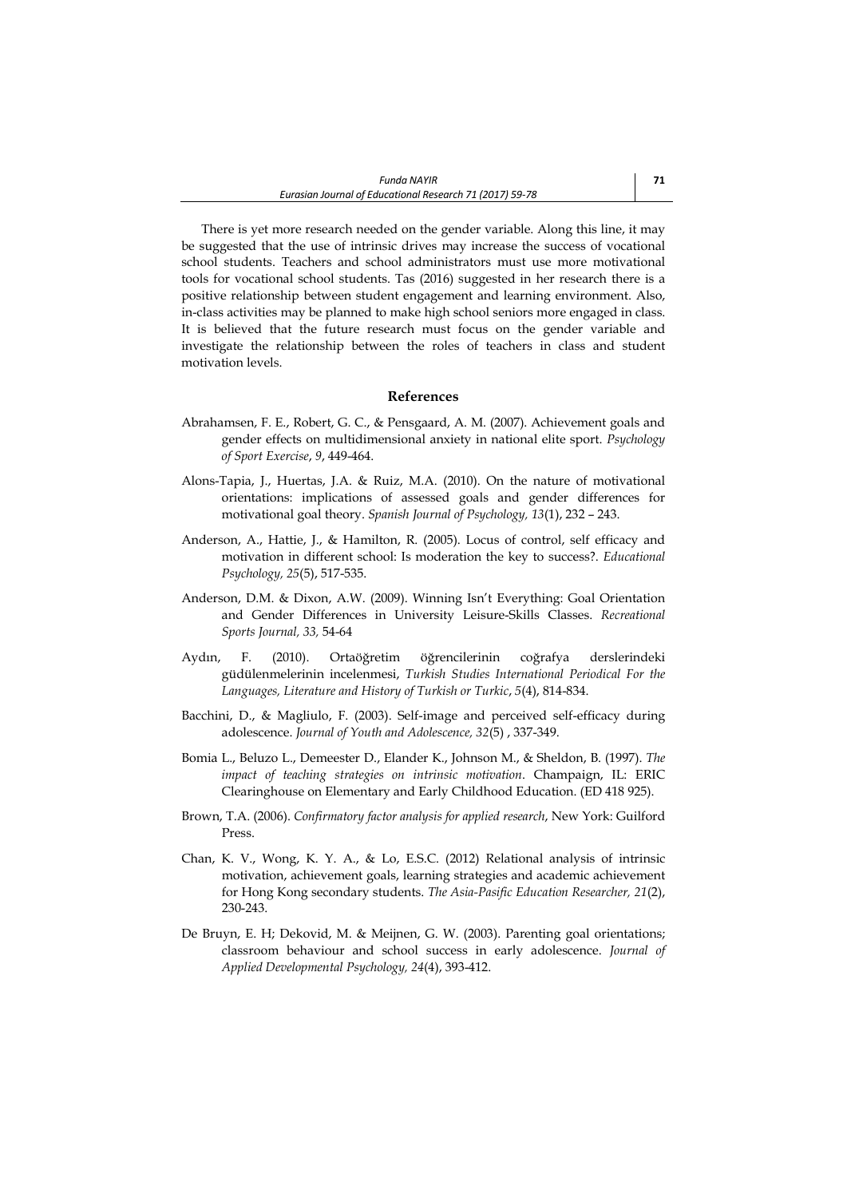There is yet more research needed on the gender variable. Along this line, it may be suggested that the use of intrinsic drives may increase the success of vocational school students. Teachers and school administrators must use more motivational tools for vocational school students. Tas (2016) suggested in her research there is a positive relationship between student engagement and learning environment. Also, in-class activities may be planned to make high school seniors more engaged in class. It is believed that the future research must focus on the gender variable and investigate the relationship between the roles of teachers in class and student motivation levels.

## **References**

- Abrahamsen, F. E., Robert, G. C., & Pensgaard, A. M. (2007). Achievement goals and gender effects on multidimensional anxiety in national elite sport. *Psychology of Sport Exercise*, *9*, 449-464.
- Alons-Tapia, J., Huertas, J.A. & Ruiz, M.A. (2010). On the nature of motivational orientations: implications of assessed goals and gender differences for motivational goal theory. *Spanish Journal of Psychology, 13*(1), 232 – 243.
- Anderson, A., Hattie, J., & Hamilton, R. (2005). Locus of control, self efficacy and motivation in different school: Is moderation the key to success?. *Educational Psychology, 25*(5), 517-535.
- Anderson, D.M. & Dixon, A.W. (2009). Winning Isn't Everything: Goal Orientation and Gender Differences in University Leisure-Skills Classes. *Recreational Sports Journal, 33,* 54-64
- Aydın, F. (2010). Ortaöğretim öğrencilerinin coğrafya derslerindeki güdülenmelerinin incelenmesi, *Turkish Studies International Periodical For the Languages, Literature and History of Turkish or Turkic*, *5*(4), 814-834.
- Bacchini, D., & Magliulo, F. (2003). Self-image and perceived self-efficacy during adolescence. *Journal of Youth and Adolescence, 32*(5) , 337-349.
- Bomia L., Beluzo L., Demeester D., Elander K., Johnson M., & Sheldon, B. (1997). *The impact of teaching strategies on intrinsic motivation*. Champaign, IL: ERIC Clearinghouse on Elementary and Early Childhood Education. (ED 418 925).
- Brown, T.A. (2006). *Confirmatory factor analysis for applied research*, New York: Guilford Press.
- Chan, K. V., Wong, K. Y. A., & Lo, E.S.C. (2012) Relational analysis of intrinsic motivation, achievement goals, learning strategies and academic achievement for Hong Kong secondary students. *The Asia-Pasific Education Researcher, 21*(2), 230-243.
- De Bruyn, E. H; Dekovid, M. & Meijnen, G. W. (2003). Parenting goal orientations; classroom behaviour and school success in early adolescence. *Journal of Applied Developmental Psychology, 24*(4), 393-412.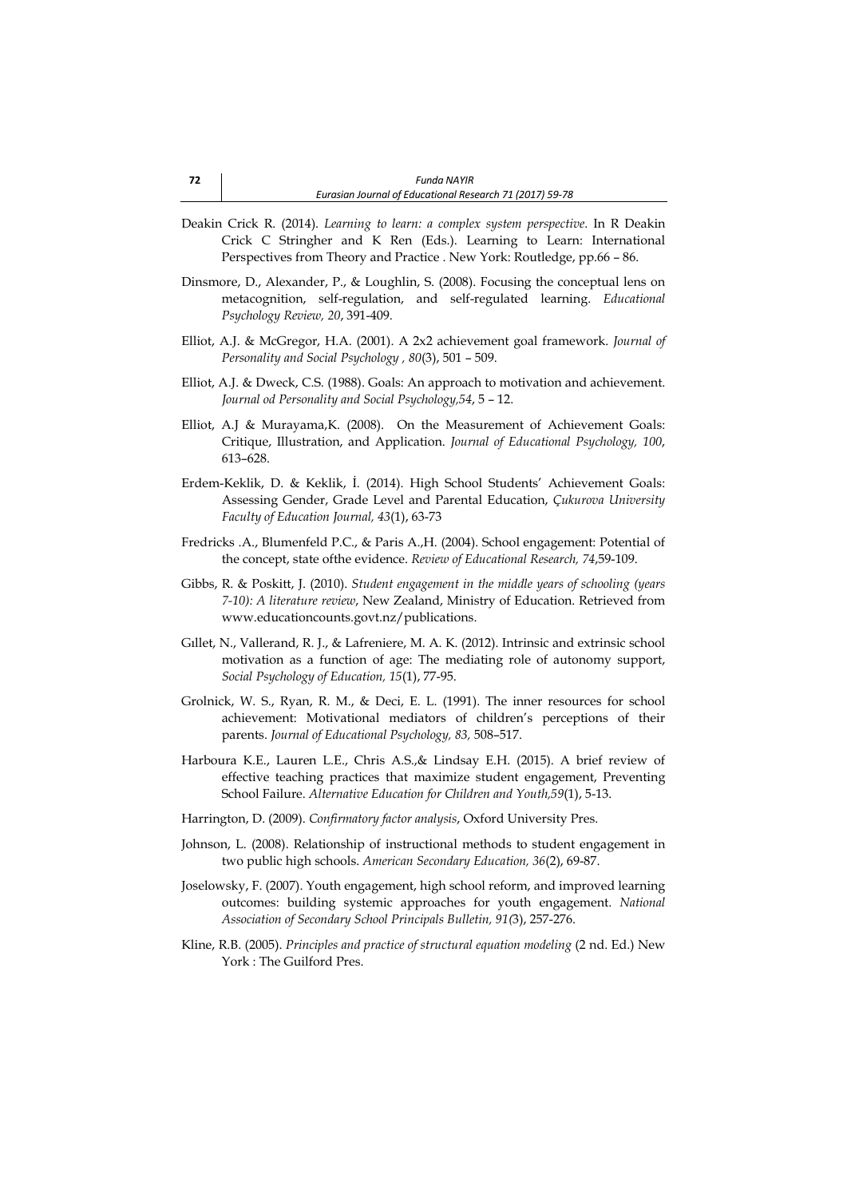- Deakin Crick R. (2014). *Learning to learn: a complex system perspective*. In R Deakin Crick C Stringher and K Ren (Eds.). Learning to Learn: International Perspectives from Theory and Practice . New York: Routledge, pp.66 – 86.
- Dinsmore, D., Alexander, P., & Loughlin, S. (2008). Focusing the conceptual lens on metacognition, self-regulation, and self-regulated learning. *Educational Psychology Review, 20*, 391-409.
- Elliot, A.J. & McGregor, H.A. (2001). A 2x2 achievement goal framework. *Journal of Personality and Social Psychology , 80*(3), 501 – 509.
- Elliot, A.J. & Dweck, C.S. (1988). Goals: An approach to motivation and achievement. *Journal od Personality and Social Psychology,54*, 5 – 12.
- Elliot, A.J & Murayama,K. (2008). On the Measurement of Achievement Goals: Critique, Illustration, and Application. *Journal of Educational Psychology, 100*, 613–628.
- Erdem-Keklik, D. & Keklik, İ. (2014). High School Students' Achievement Goals: Assessing Gender, Grade Level and Parental Education, *Çukurova University Faculty of Education Journal, 43*(1), 63-73
- Fredricks .A., Blumenfeld P.C., & Paris A.,H. (2004). School engagement: Potential of the concept, state ofthe evidence. *Review of Educational Research, 74*,59-109.
- Gibbs, R. & Poskitt, J. (2010). *Student engagement in the middle years of schooling (years 7-10): A literature review*, New Zealand, Ministry of Education. Retrieved from [www.educationcounts.govt.nz/publications.](http://www.educationcounts.govt.nz/publications)
- Gıllet, N., Vallerand, R. J., & Lafreniere, M. A. K. (2012). Intrinsic and extrinsic school motivation as a function of age: The mediating role of autonomy support, *Social Psychology of Education, 15*(1), 77-95.
- Grolnick, W. S., Ryan, R. M., & Deci, E. L. (1991). The inner resources for school achievement: Motivational mediators of children's perceptions of their parents. *Journal of Educational Psychology, 83,* 508–517.
- Harboura K.E., Lauren L.E., Chris A.S.,& Lindsay E.H. (2015). A brief review of effective teaching practices that maximize student engagement, Preventing School Failure. *Alternative Education for Children and Youth,59*(1), 5-13.
- Harrington, D. (2009). *Confirmatory factor analysis*, Oxford University Pres.
- Johnson, L. (2008). Relationship of instructional methods to student engagement in two public high schools. *American Secondary Education, 36*(2), 69-87.
- Joselowsky, F. (2007). Youth engagement, high school reform, and improved learning outcomes: building systemic approaches for youth engagement. *National Association of Secondary School Principals Bulletin, 91(*3), 257-276.
- Kline, R.B. (2005). *Principles and practice of structural equation modeling* (2 nd. Ed.) New York : The Guilford Pres.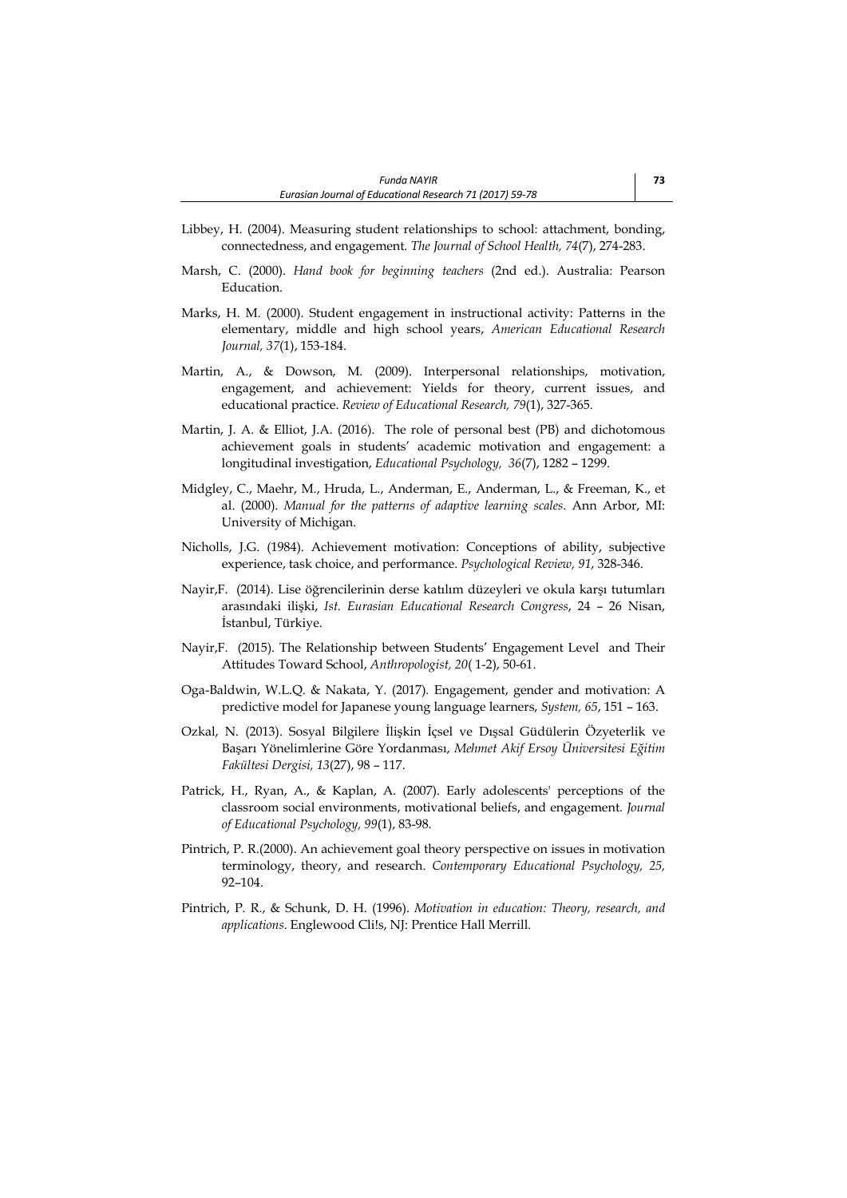- Libbey, H. (2004). Measuring student relationships to school: attachment, bonding, connectedness, and engagement. *The Journal of School Health, 74*(7), 274-283.
- Marsh, C. (2000). *Hand book for beginning teachers* (2nd ed.). Australia: Pearson Education.
- Marks, H. M. (2000). Student engagement in instructional activity: Patterns in the elementary, middle and high school years, *American Educational Research Journal, 37*(1), 153-184.
- Martin, A., & Dowson, M. (2009). Interpersonal relationships, motivation, engagement, and achievement: Yields for theory, current issues, and educational practice. *Review of Educational Research, 79*(1), 327-365.
- Martin, J. A. & Elliot, J.A. (2016). The role of personal best (PB) and dichotomous achievement goals in students' academic motivation and engagement: a longitudinal investigation, *Educational Psychology, 36*(7), 1282 – 1299.
- Midgley, C., Maehr, M., Hruda, L., Anderman, E., Anderman, L., & Freeman, K., et al. (2000). *Manual for the patterns of adaptive learning scales*. Ann Arbor, MI: University of Michigan.
- Nicholls, J.G. (1984). Achievement motivation: Conceptions of ability, subjective experience, task choice, and performance. *Psychological Review, 91*, 328-346.
- Nayir,F. (2014). Lise öğrencilerinin derse katılım düzeyleri ve okula karşı tutumları arasındaki ilişki, *Ist. Eurasian Educational Research Congress*, 24 – 26 Nisan, İstanbul, Türkiye.
- Nayir,F. (2015). The Relationship between Students' Engagement Level and Their Attitudes Toward School, *Anthropologist, 20*( 1-2), 50-61.
- Oga-Baldwin, W.L.Q. & Nakata, Y. (2017). Engagement, gender and motivation: A predictive model for Japanese young language learners, *System, 65*, 151 – 163.
- Ozkal, N. (2013). Sosyal Bilgilere İlişkin İçsel ve Dışsal Güdülerin Özyeterlik ve Başarı Yönelimlerine Göre Yordanması, *Mehmet Akif Ersoy Üniversitesi Eğitim Fakültesi Dergisi, 13*(27), 98 – 117.
- Patrick, H., Ryan, A., & Kaplan, A. (2007). Early adolescents' perceptions of the classroom social environments, motivational beliefs, and engagement. *Journal of Educational Psychology, 99*(1), 83-98.
- Pintrich, P. R.(2000). An achievement goal theory perspective on issues in motivation terminology, theory, and research. *Contemporary Educational Psychology, 25,* 92–104.
- Pintrich, P. R., & Schunk, D. H. (1996). *Motivation in education: Theory, research, and applications*. Englewood Cli!s, NJ: Prentice Hall Merrill.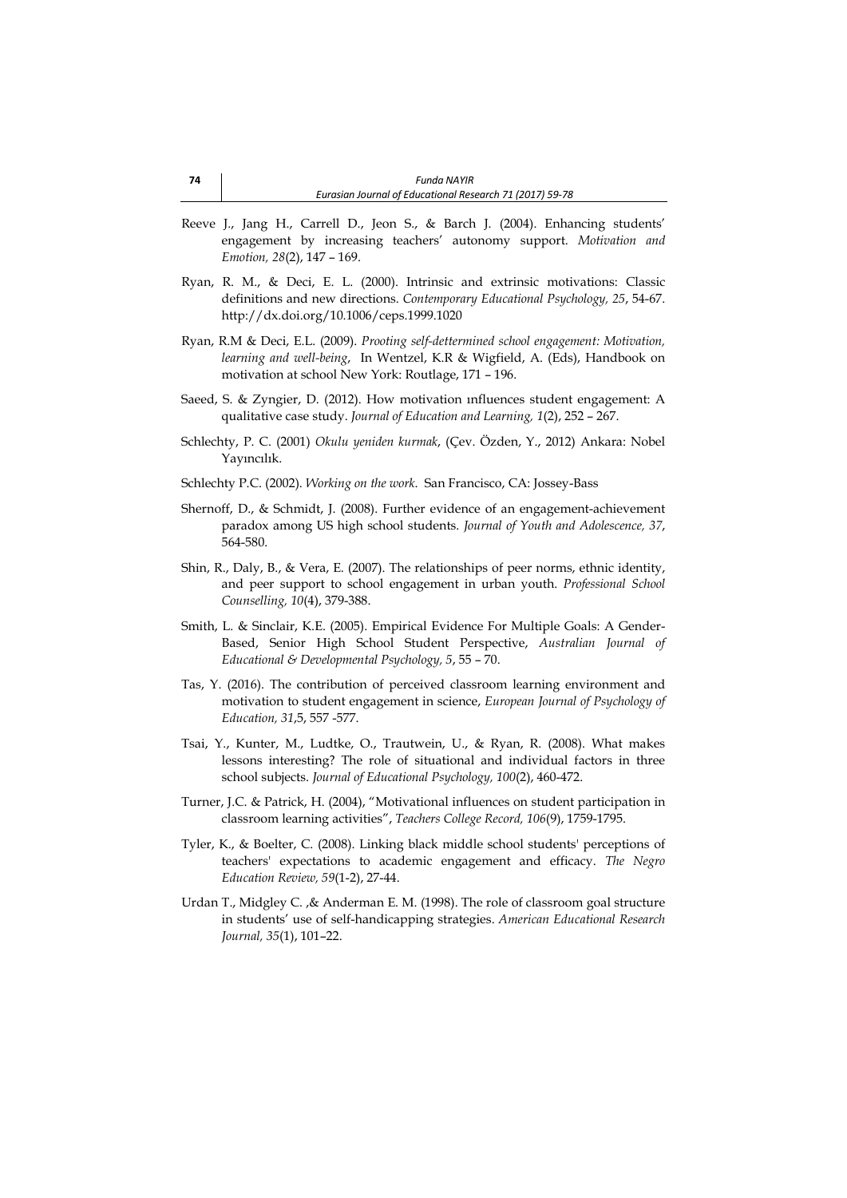- Reeve J., Jang H., Carrell D., Jeon S., & Barch J. (2004). Enhancing students' engagement by increasing teachers' autonomy support. *Motivation and Emotion, 28*(2), 147 – 169.
- Ryan, R. M., & Deci, E. L. (2000). Intrinsic and extrinsic motivations: Classic definitions and new directions. *Contemporary Educational Psychology, 25*, 54-67. http://dx.doi.org/10.1006/ceps.1999.1020
- Ryan, R.M & Deci, E.L. (2009). *Prooting self-dettermined school engagement: Motivation, learning and well-being*, In Wentzel, K.R & Wigfield, A. (Eds), Handbook on motivation at school New York: Routlage, 171 – 196.
- Saeed, S. & Zyngier, D. (2012). How motivation ınfluences student engagement: A qualitative case study. *Journal of Education and Learning, 1*(2), 252 – 267.
- Schlechty, P. C. (2001) *Okulu yeniden kurmak*, (Çev. Özden, Y., 2012) Ankara: Nobel Yayıncılık.
- Schlechty P.C. (2002). *Working on the work*. San Francisco, CA: Jossey-Bass
- Shernoff, D., & Schmidt, J. (2008). Further evidence of an engagement-achievement paradox among US high school students. *Journal of Youth and Adolescence, 37*, 564-580.
- Shin, R., Daly, B., & Vera, E. (2007). The relationships of peer norms, ethnic identity, and peer support to school engagement in urban youth. *Professional School Counselling, 10*(4), 379-388.
- Smith, L. & Sinclair, K.E. (2005). Empirical Evidence For Multiple Goals: A Gender-Based, Senior High School Student Perspective, *Australian Journal of Educational & Developmental Psychology, 5*, 55 – 70.
- Tas, Y. (2016). The contribution of perceived classroom learning environment and motivation to student engagement in science, *European Journal of Psychology of Education, 31*,5, 557 -577.
- Tsai, Y., Kunter, M., Ludtke, O., Trautwein, U., & Ryan, R. (2008). What makes lessons interesting? The role of situational and individual factors in three school subjects. *Journal of Educational Psychology, 100*(2), 460-472.
- Turner, J.C. & Patrick, H. (2004), "Motivational influences on student participation in classroom learning activities", *Teachers College Record, 106*(9), 1759-1795.
- Tyler, K., & Boelter, C. (2008). Linking black middle school students' perceptions of teachers' expectations to academic engagement and efficacy. *The Negro Education Review, 59*(1-2), 27-44.
- Urdan T., Midgley C. ,& Anderman E. M. (1998). The role of classroom goal structure in students' use of self-handicapping strategies. *American Educational Research Journal, 35*(1), 101–22.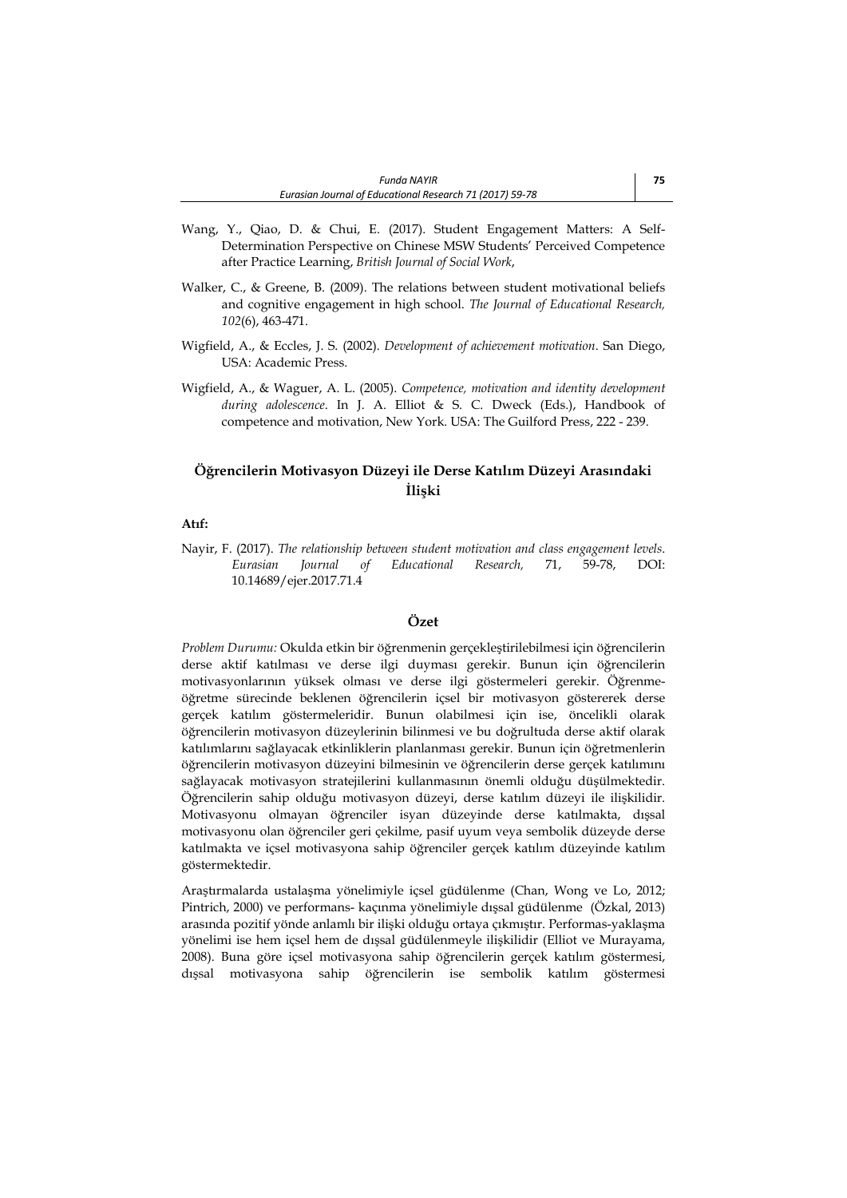- Wang, Y., Qiao, D. & Chui, E. (2017). Student Engagement Matters: A Self-Determination Perspective on Chinese MSW Students' Perceived Competence after Practice Learning, *British Journal of Social Work*,
- Walker, C., & Greene, B. (2009). The relations between student motivational beliefs and cognitive engagement in high school. *The Journal of Educational Research, 102*(6), 463-471.
- Wigfield, A., & Eccles, J. S. (2002). *Development of achievement motivation*. San Diego, USA: Academic Press.
- Wigfield, A., & Waguer, A. L. (2005). *Competence, motivation and identity development during adolescence*. In J. A. Elliot & S. C. Dweck (Eds.), Handbook of competence and motivation, New York. USA: The Guilford Press, 222 - 239.

# **Öğrencilerin Motivasyon Düzeyi ile Derse Katılım Düzeyi Arasındaki İlişki**

## **Atıf:**

Nayir, F. (2017). *The relationship between student motivation and class engagement levels*. *Eurasian Journal of Educational Research,* 71, 59-78, DOI: 10.14689/ejer.2017.71.4

# **Özet**

*Problem Durumu:* Okulda etkin bir öğrenmenin gerçekleştirilebilmesi için öğrencilerin derse aktif katılması ve derse ilgi duyması gerekir. Bunun için öğrencilerin motivasyonlarının yüksek olması ve derse ilgi göstermeleri gerekir. Öğrenmeöğretme sürecinde beklenen öğrencilerin içsel bir motivasyon göstererek derse gerçek katılım göstermeleridir. Bunun olabilmesi için ise, öncelikli olarak öğrencilerin motivasyon düzeylerinin bilinmesi ve bu doğrultuda derse aktif olarak katılımlarını sağlayacak etkinliklerin planlanması gerekir. Bunun için öğretmenlerin öğrencilerin motivasyon düzeyini bilmesinin ve öğrencilerin derse gerçek katılımını sağlayacak motivasyon stratejilerini kullanmasının önemli olduğu düşülmektedir. Öğrencilerin sahip olduğu motivasyon düzeyi, derse katılım düzeyi ile ilişkilidir. Motivasyonu olmayan öğrenciler isyan düzeyinde derse katılmakta, dışsal motivasyonu olan öğrenciler geri çekilme, pasif uyum veya sembolik düzeyde derse katılmakta ve içsel motivasyona sahip öğrenciler gerçek katılım düzeyinde katılım göstermektedir.

Araştırmalarda ustalaşma yönelimiyle içsel güdülenme (Chan, Wong ve Lo, 2012; Pintrich, 2000) ve performans- kaçınma yönelimiyle dışsal güdülenme (Özkal, 2013) arasında pozitif yönde anlamlı bir ilişki olduğu ortaya çıkmıştır. Performas-yaklaşma yönelimi ise hem içsel hem de dışsal güdülenmeyle ilişkilidir (Elliot ve Murayama, 2008). Buna göre içsel motivasyona sahip öğrencilerin gerçek katılım göstermesi, dışsal motivasyona sahip öğrencilerin ise sembolik katılım göstermesi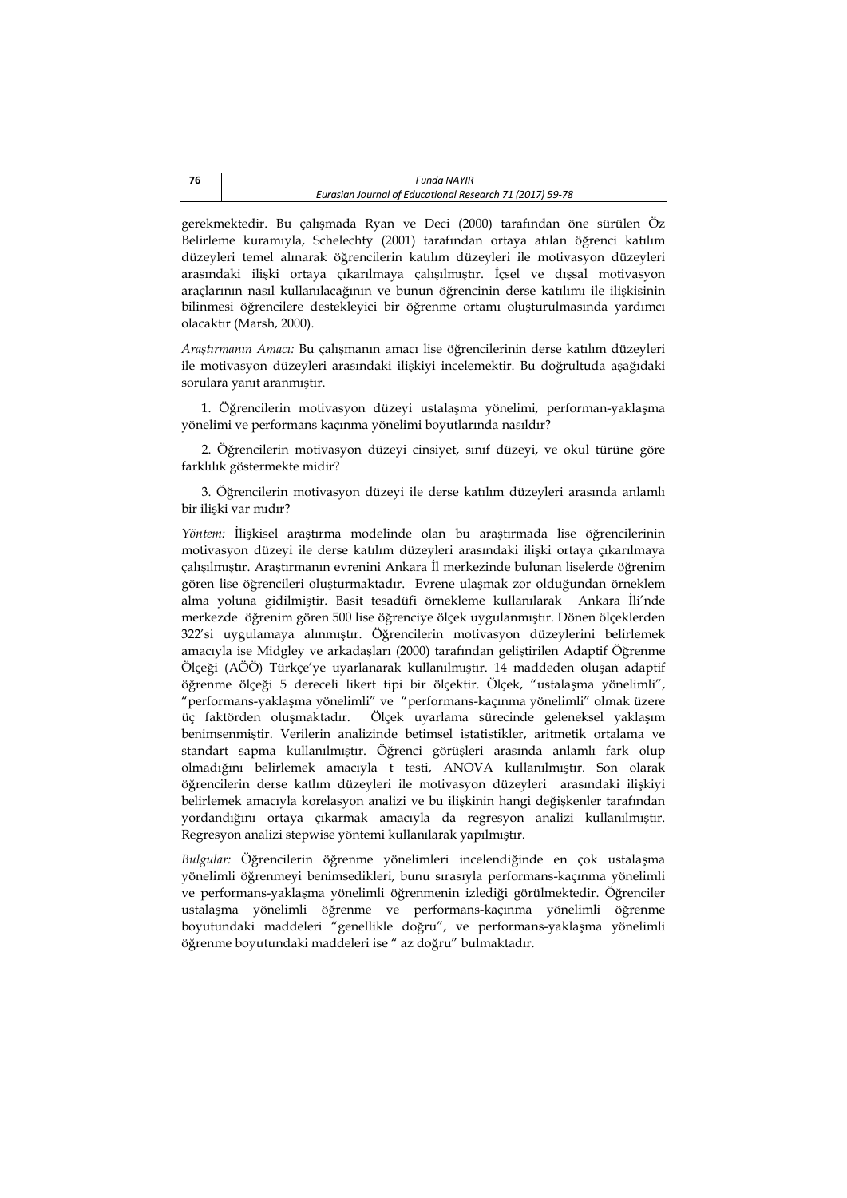gerekmektedir. Bu çalışmada Ryan ve Deci (2000) tarafından öne sürülen Öz Belirleme kuramıyla, Schelechty (2001) tarafından ortaya atılan öğrenci katılım düzeyleri temel alınarak öğrencilerin katılım düzeyleri ile motivasyon düzeyleri arasındaki ilişki ortaya çıkarılmaya çalışılmıştır. İçsel ve dışsal motivasyon araçlarının nasıl kullanılacağının ve bunun öğrencinin derse katılımı ile ilişkisinin bilinmesi öğrencilere destekleyici bir öğrenme ortamı oluşturulmasında yardımcı olacaktır (Marsh, 2000).

*Araştırmanın Amacı:* Bu çalışmanın amacı lise öğrencilerinin derse katılım düzeyleri ile motivasyon düzeyleri arasındaki ilişkiyi incelemektir. Bu doğrultuda aşağıdaki sorulara yanıt aranmıştır.

1. Öğrencilerin motivasyon düzeyi ustalaşma yönelimi, performan-yaklaşma yönelimi ve performans kaçınma yönelimi boyutlarında nasıldır?

2. Öğrencilerin motivasyon düzeyi cinsiyet, sınıf düzeyi, ve okul türüne göre farklılık göstermekte midir?

3. Öğrencilerin motivasyon düzeyi ile derse katılım düzeyleri arasında anlamlı bir ilişki var mıdır?

*Yöntem:* İlişkisel araştırma modelinde olan bu araştırmada lise öğrencilerinin motivasyon düzeyi ile derse katılım düzeyleri arasındaki ilişki ortaya çıkarılmaya çalışılmıştır. Araştırmanın evrenini Ankara İl merkezinde bulunan liselerde öğrenim gören lise öğrencileri oluşturmaktadır. Evrene ulaşmak zor olduğundan örneklem alma yoluna gidilmiştir. Basit tesadüfi örnekleme kullanılarak Ankara İli'nde merkezde öğrenim gören 500 lise öğrenciye ölçek uygulanmıştır. Dönen ölçeklerden 322'si uygulamaya alınmıştır. Öğrencilerin motivasyon düzeylerini belirlemek amacıyla ise Midgley ve arkadaşları (2000) tarafından geliştirilen Adaptif Öğrenme Ölçeği (AÖÖ) Türkçe'ye uyarlanarak kullanılmıştır. 14 maddeden oluşan adaptif öğrenme ölçeği 5 dereceli likert tipi bir ölçektir. Ölçek, "ustalaşma yönelimli", "performans-yaklaşma yönelimli" ve "performans-kaçınma yönelimli" olmak üzere üç faktörden oluşmaktadır. Ölçek uyarlama sürecinde geleneksel yaklaşım benimsenmiştir. Verilerin analizinde betimsel istatistikler, aritmetik ortalama ve standart sapma kullanılmıştır. Öğrenci görüşleri arasında anlamlı fark olup olmadığını belirlemek amacıyla t testi, ANOVA kullanılmıştır. Son olarak öğrencilerin derse katlım düzeyleri ile motivasyon düzeyleri arasındaki ilişkiyi belirlemek amacıyla korelasyon analizi ve bu ilişkinin hangi değişkenler tarafından yordandığını ortaya çıkarmak amacıyla da regresyon analizi kullanılmıştır. Regresyon analizi stepwise yöntemi kullanılarak yapılmıştır.

*Bulgular:* Öğrencilerin öğrenme yönelimleri incelendiğinde en çok ustalaşma yönelimli öğrenmeyi benimsedikleri, bunu sırasıyla performans-kaçınma yönelimli ve performans-yaklaşma yönelimli öğrenmenin izlediği görülmektedir. Öğrenciler ustalaşma yönelimli öğrenme ve performans-kaçınma yönelimli öğrenme boyutundaki maddeleri "genellikle doğru", ve performans-yaklaşma yönelimli öğrenme boyutundaki maddeleri ise " az doğru" bulmaktadır.